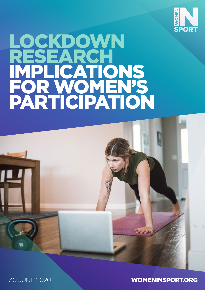

# LOCKDOWN RESEARCH IMPLICATIONS FOR WOMEN'S PARTICIPATION



30 JUNE 2020 WOMENINSPORT.ORG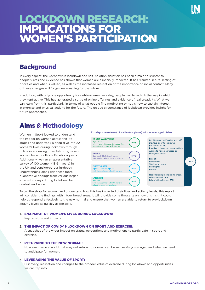## LOCKDOWN RESEARCH: IMPLICATIONS FOR WOMEN'S PARTICIPATION

## **Background**

In every aspect, the Coronavirus lockdown and self-isolation situation has been a major disruptor to people's lives and evidence has shown that women are especially impacted. It has resulted in a re-setting of priorities and what is valued, as well as the increased realisation of the importance of social contact. Many of these changes will forge new meaning for the future.

In addition, with only one opportunity for outdoor exercise a day, people had to rethink the way in which they kept active. This has generated a surge of online offerings and evidence of real creativity. What we can learn from this, particularly in terms of what people find motivating or not is how to sustain interest in exercise and physical activity for the future. The unique circumstance of lockdown provides insight for future approaches.

## Aims & Methodology

Women in Sport looked to understand the impact on women across the lifestages and undertook a deep dive into 22 women's lives during lockdown through online interviewing, then following several women for a month via Facebook posts. Additionally, we ran a representative survey of 100 women (18-64 years) in the UK and considered our in-depth understanding alongside these more quantitative findings from various larger external surveys during lockdown for context and scale.





To tell the story for women and understand how this has impacted their lives and activity levels, this report will consider the findings within four broad areas. It will provide some thoughts on how this insight could help us respond effectively to the new normal and ensure that women are able to return to pre-lockdown activity levels as quickly as possible.

## **1.** SNAPSHOT OF WOMEN'S LIVES DURING LOCKDOWN:

Key tensions and impacts.

### **2.** THE IMPACT OF COVID-19 LOCKDOWN ON SPORT AND EXERCISE:

A snapshot of the wider impact on status, perceptions and motivations to participate in sport and exercise.

## **3.** RETURNING TO THE NEW NORMAL:

How exercise in a world that may not return 'to normal' can be successfully managed and what we need to anticipate for women.

### **4.** LEVERAGING THE VALUE OF SPORT:

Discovery, realisation and changes to the broader value of exercise during lockdown and opportunities we can tap into.

Core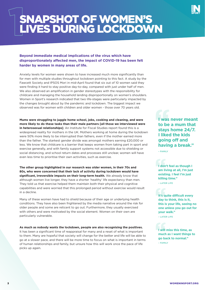

# 1 SNAPSHOT OF WOMEN'S LIVES DURING LOCKDOWN

## **Beyond immediate medical implications of the virus which have disproportionately affected men, the impact of COVID-19 has been felt harder by women in many areas of life.**

Anxiety levels for women were shown to have increased much more significantly than for men with multiple studies throughout lockdown pointing to this fact. A study by the Fawcett Society and IPSOS Mori in mid-April found that six out of 10 women said they were finding it hard to stay positive day-to-day, compared with just under half of men. We also observed an amplification in gender stereotypes with the responsibility for childcare and managing the household landing disproportionally on women's shoulders. Women in Sport's research indicated that two life-stages were particularly impacted by the changes brought about by the pandemic and lockdown. The biggest impact we observed was for women with children and older women - those over 70 years old.

**Mums were struggling to juggle home school, jobs, cooking and cleaning, and were more likely to do these tasks than their male partners [all those we interviewed were in heterosexual relationships]**. An Institute for Fiscal Studies report found this is a widespread reality for mothers in the UK. Mothers working at home during the lockdown were 50% more likely to be interrupted than fathers, even if the mother earned more than the father. The starkest gender divide was amongst mothers earning £20,000 or less. We know that childcare is a barrier that keeps women from taking part in sport and exercise generally, and with family support systems not accessible due to shielding or social distancing, and school return dates and processes still unclear, women will have even less time to prioritise their own activities, such as exercise.

**The other group highlighted in our research was older women, in their 70s and 80s, who were concerned that their lack of activity during lockdown would have significant, irreversible impacts on their long-term health.** We already know that although women live longer, they have a shorter 'healthy' life expectancy than men. They told us that exercise helped them maintain both their physical and cognitive capabilities and were worried that this prolonged period without exercise would result in a decline.

Many of these women have had to shield because of their age or underlying health conditions. They have also been frightened by the media narrative around the risk for older people and some are reticent to go out. Furthermore, they usually exercised with others and were motivated by the social element. Women on their own are particularly vulnerable.

**As much as nobody wants the lockdown, people are also recognising the positives.**

It has been a significant time of reappraisal for many and a reset of what is important to them. Many are hopeful that society will change for the better and life will be able to go at a slower pace, and there will be more time to focus on what is important in terms of human relationships and family, but unsure how this will work once the pace of life picks up again.

**I was never meant to be a mum that stays home 24/7. I liked the kids going off and having a break."**

 $-$  FAMILY

**I don't feel as though I am living at all, I'm just existing. I feel I'm just killing time.''**

– LATER LIFE

**It's quite difficult every day to think, this is it, this is your life, seeing no one unless you go out for your walk.''** – LATER LIFE

**I will miss this time, as much as I want things to go back to normal."**

– FAMILY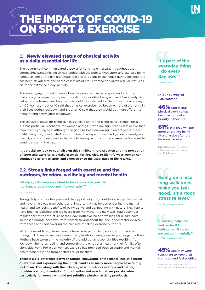

# 2 THE IMPACT OF COVID-19 ON SPORT & EXERCISE

## 2.1. Newly elevated status of physical activity as a daily essential for life

The government communicated a powerful yet simple message throughout the coronavirus pandemic which has landed with the public. With sport and exercise being named as one of the five legitimate reasons to go out of the house during lockdown, it has been elevated to one of the essentials of life, reframed and given regular status as an important 'once a day' activity.

This messaging has had an impact on the perceived value of sport and exercise, particularly to women who previously did not prioritise being active. It has clearly also helped some form a new habit, which could be sustained for the future. In our survey of 100 women, 4 out of 10 said that physical exercise had become more of a priority in their lives during lockdown and 6 out of 10 said that they would put more effort into being fit and active after lockdown.

This elevated status for exercise has signalled sport and exercise as essential for all, but has particular resonance for women and girls, who are significantly less active than men from a young age. Although the gap has been narrowing in recent years, there is still a way to go, as limited opportunities, low expectations and gender stereotypes persist, and continue to act as barriers to taking part in sport and exercise. We want to continue closing the gap.

**It is crucial we look to capitalise on this significant re-evaluation and the perception of sport and exercise as a daily essential for life. Also, to identify ways women can continue to prioritise sport and exercise once the usual pace of life returns.**

## 2.2. Strong links forged with exercise and the outdoors, freedom, wellbeing and mental health

**"At my age it's very important to be as mobile as you can. It enhances your mood and lifts your spirit."**

#### – LATER LIFE

Taking daily exercise has provided the opportunity to go outdoors, enjoy the fresh air and have time away from others and, importantly, has helped underline the mental health and wellbeing benefits of being active and connecting with nature. New habits have been established and we heard from many that the daily walk had become a regular part of the structure of their day. Both cycling and walking for leisure have increased during lockdown, with women talking about the 'feel good' factor derived from these and rediscovering the pleasure of taking exercise outdoors.

Whilst relevant to all, these benefits have been particularly important for women during lockdown, as we have seen anxiety levels increase, especially amongst mothers. Mothers have taken on the majority of the additional responsibilities resulting from lockdown: home-schooling and supporting the emotional health of their family, often alongside work. For older women, exercise has provided both structure and mental health benefits in the form of stress relief for them.

**There is a big difference between rational knowledge of the mental health benefits of exercise and experiencing them first-hand as so many more people have during lockdown. This, along with the links forged with outdoor exercise and nature, provides a strong foundation for motivation and new initiatives post-lockdown, particularly for women who did not prioritise physical activity previously.**

## **It's part of the everyday thing I do every day now."**

– LATER LIFE

**In our survey of 100 women:**

 $46\%$  said taking physical exercise has become more of a priority in their life.

61% said they will put more effort into being fit and active after the lockdown is over.

**Source:** Lockdown research – Fastuna (Nat. Rep. women age 18-64 years)

## **Going on a nice long walk does make you feel good. It's a good stress reliever."**

– YOUNG W/OUT KIDS

**[Exercise] helps me feel better if I'm feeling bad, it clears me out a bit mentally."** – YOUNG W/OUT KIDS

45% said they were struggling to keep their spirits up and feel positive.

**Source:** Lockdown research - Fastuna (women age 18-64 years)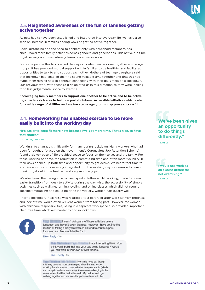

As new habits have been established and integrated into everyday life, we have also seen an increase in families finding ways of getting active together.

Social distancing and the need to connect only with household members, has encouraged more family activities across genders and generations. This active fun time together may not have naturally taken place pre-lockdown.

For some people this has opened their eyes to what can be done together across age groups. It has provided mutual support within families to be healthier and facilitated opportunities to talk to and support each other. Mothers of teenage daughters said that lockdown had enabled them to spend valuable time together and that this had made them rethink how to continue connecting with their daughters post-lockdown. Our previous work with teenage girls pointed us in this direction as they were looking for a less judgemental space to exercise.

**Encouraging family members to support one another to be active and to be active together is a rich area to build on post-lockdown. Accessible initiatives which cater for a wide range of abilities and are fun across age groups may prove successful.**

## 2.4. Homeworking has enabled exercise to be more easily built into the working day

**"It's easier to keep fit more now because I've got more time. That's nice, to have that choice."**

– YOUNG W/OUT KIDS

Working life changed significantly for many during lockdown. Many workers who had been furloughed (placed on the government's Coronavirus Job Retention Scheme) found a slower pace of life provided space to focus on themselves and the family. For those working at home, the reduction in commuting time and often more flexibility in their days opened up both time and opportunity to get active. We heard that time to exercise was much more easily integrated into the working day as a reason to take a break or get out in the fresh air and very much enjoyed.

We also heard that being able to wear sports clothes whilst working, made for a much easier transition from desk to activity during the day. Also, the accessibility of simple activities such as walking, running, cycling and online classes which did not require specific timetabling and could be done individually, worked particularly well.

Prior to lockdown, if exercise was restricted to a before or after work activity, tiredness and lack of time would often prevent women from taking part. However, for women with childcare responsibilities, being in a separate workspace also provided important child-free time which was harder to find in lockdown.



I wasn't doing any of those activities before lockdown and haven't taken them up, however I have got into the routine of taking a daily walk which I intend to continue postlockdown as I feel much better for it.

Like · Reply · 3w

**Call State** that's Interesting Fight You think you'll build that into your day going forwards? Would you still walk in your own or with friends?

Like · Reply · 3w

I certainly hope so, though this may become more challenging when I am no longer working from home and have to factor in my commute (which can be up to an hour each way). Also more challenging in the winter when it will be dark after work. My partner and I go walking together and we would hope to continue with this.

## **We've been given an opportunity to do things differently."**

 $=$  FAMILY

**I would use work as an excuse before for not exercising."** – FAMILY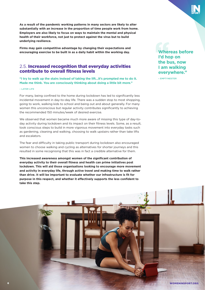**As a result of the pandemic working patterns in many sectors are likely to alter substantially with an increase in the proportion of time people work from home. Employers are also likely to focus on ways to maintain the mental and physical health of their workforce, not just to protect against the virus but to build underlying resilience.** 

**Firms may gain competitive advantage by changing their expectations and encouraging exercise to be built in as a daily habit within the working day.**

## 2.5. Increased recognition that everyday activities contribute to overall fitness levels

**"I try to walk up the stairs instead of taking the lift…it's prompted me to do it. Made me think. You are consciously thinking about doing a little bit more."**

#### – LATER LIFE

For many, being confined to the home during lockdown has led to significantly less incidental movement in day-to-day life. There was a sudden stop to most shopping, going to work, walking kids to school and being out and about generally. For many women this unconscious but regular activity contributes significantly to achieving the recommended 150 minutes/week of desired exercise.

We observed that women became much more aware of missing this type of day-today activity during lockdown and its impact on their fitness levels. Some, as a result, took conscious steps to build in more vigorous movement into everyday tasks such as gardening, cleaning and walking, choosing to walk upstairs rather than take lifts and escalators.

The fear and difficulty in taking public transport during lockdown also encouraged women to choose walking and cycling as alternatives for shorter journeys and this resulted in some recognising that this was in fact a credible alternative for them.

**This increased awareness amongst women of the significant contribution of everyday activity to their overall fitness and health can prime initiatives post lockdown. This will aid those organisations looking to encourage more movement and activity in everyday life, through active travel and making time to walk rather than drive. It will be important to evaluate whether our infrastructure is fit for purpose in this respect, and whether it effectively supports the less confident to take this step.**

**Whereas before I'd hop on the bus, now I am walking everywhere."**

– EMPTYNESTER

6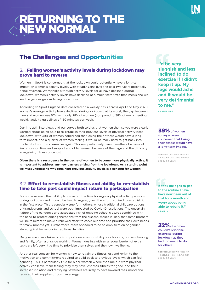# 3 RETURNING TO THE NEW NORMAL

## The Challenges and Opportunities

## 3.1. Falling women's activity levels during lockdown may prove hard to reverse

Women in Sport is concerned that the lockdown could potentially have a long-term impact on women's activity levels, with steady gains over the past two years potentially being reversed. Worryingly, although activity levels for all have declined during lockdown, women's activity levels have declined at a much faster rate than men's and we see the gender gap widening once more.

According to Sport England data collected on a weekly basis across April and May 2020, women's average activity levels declined during lockdown; at its worst, the gap between men and women was 10%, with only 28% of women (compared to 38% of men) meeting weekly activity guidelines of 150 minutes per week.

Our in-depth interviews and our survey both told us that women themselves were clearly worried about being able to re-establish their previous levels of physical activity post lockdown, with 39% of women concerned that losing their fitness would have a longterm impact, and a quarter of women feeling it would be really hard to get back into the habit of sport and exercise again. This was particularly true of mothers because of limitations on time and support and older women because of their age and the difficulty in regaining fitness once lost.

**Given there is a resurgence in the desire of women to become more physically active, it is important to address any new barriers arising from the lockdown. As a starting point we must understand why regaining previous activity levels is a concern for women.**

## 3.2. Effort to re-establish fitness and ability to re-establish time to take part could impact return to participation

For some women, their ability to carve out the time for regular physical activity was lost during lockdown and it could be hard to regain, given the effort required to establish it in the first place. This is especially true for mothers; whose traditional childcare options of grandparents and school were both impacted by Covid-19 restrictions. The uncertain nature of the pandemic and associated risk of ongoing school closures combined with the need to protect older generations from the disease, makes it likely that some mothers will be reluctant to make a renewed effort to carve out time and prioritise their own needs for many months yet. Furthermore, there appeared to be an amplification of gender stereotypical behaviour in traditional families.

Many women have taken on disproportionate responsibility for childcare, home-schooling and family, often alongside working. Women dealing with an unequal burden of extra tasks are left very little time to prioritise themselves and their own wellbeing.

Another real concern for women is how to regain the fitness lost and re-ignite the motivation and commitment required to build back to previous levels, which can feel daunting. This is particularly true for older women where the time out from physical activity can leave them feeling they may have lost their fitness for good, and their increased isolation and terrifying newsreels are likely to have lowered their mood and reduced their supplies of positive energy.

**I'd be very sluggish and less inclined to do exercise if I didn't keep it up. My legs would ache and it would be very detrimental to me."**

– LATER LIFE

 $39%$  of women surveyed were concerned that losing their fitness would have a long-term impact.

**Source:** Lockdown research – Fastuna (Nat. Rep. women age 18-64 years)

**It took me ages to get to the routine I have. I have now been out of that for a month and worry about being able to rebuild it."** – FAMILY

**32%** of women couldn't prioritise excercise during lockdown as they had too much to do for others.

**Source:** Lockdown research – Fastuna (Nat. Rep. women age 18-64 years)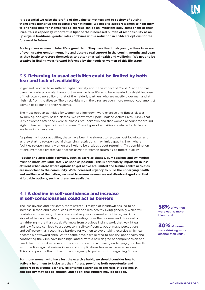**It is essential we raise the profile of the value to mothers and to society of putting themselves higher up the pecking order at home. We need to support women to help them to prioritise time for themselves so exercise can be an important daily component of their lives. This is especially important in light of their increased burden of responsibility as an upsurge in traditional gender roles combines with a reduction in childcare options for the foreseeable future.** 

**Society owes women in later life a great debt. They have lived their younger lives in an era of even greater gender inequality and deserve real support in the coming months and years as they battle to restore themselves to better physical health and wellbeing. We need to be creative in finding ways forward informed by the needs of women of this life stage.**

## 3.3. Returning to usual activities could be limited by both fear and lack of availability

In general, women have suffered higher anxiety about the impact of Covid-19 and this has been particularly prevalent amongst women in later life, who have needed to shield because of their own vulnerability or that of their elderly partners who are mostly older men and at high risk from the disease. The direct risks from the virus are even more pronounced amongst women of colour and their relatives.

The most popular activities for women pre-lockdown were exercise and fitness classes, swimming, and gym-based classes. We know from Sport England Active Lives Survey that 20% of women attended exercise classes pre-lockdown and that women account for around eight in ten participants in such classes. These types of activities are also affordable and available in urban areas.

As primarily indoor activities, these have been the slowest to re-open post lockdown and as they start to re-open social distancing restrictions may limit capacity. Even where facilities re-open, many women are likely to be anxious about returning. This combination of circumstances creates yet another barrier to women returning to fitness quickly.

**Popular and affordable activities, such as exercise classes, gym sessions and swimming must be made available safely as soon as possible. This is particularly important in less affluent urban areas where options to get active are limited and leisure centre activities are important to the community. With increased urgency to build the underlying health and resilience of the nation, we need to ensure women are not disadvantaged and that affordable options, such as these, are available.**

## 3.4 A decline in self-confidence and increase in self-consciousness could act as barriers

The less diverse and, for some, more stressful lifestyle of lockdown has led to an increase in food and alcohol consumption and less healthy living generally which will contribute to declining fitness levels and require increased effort to regain. Almost six out of ten women thought they were eating more than normal and three out of ten drinking more than usual. We know from previous insight work that weight gain and low fitness can lead to a decrease in self-confidence, body-image perceptions and self-esteem, all recognised barriers for women to avoid taking exercise which can become a downward spiral. At the same time, risks related to obesity, poor health and contracting the virus have been highlighted, with a new degree of comprehension and fear linked to this. Awareness of the importance of maintaining underlying good health as protection against serious illness and complications has never been so evident. This could provide the motivation and urgency to put effort into regaining fitness.

**For those women who have lost the exercise habit, we should consider how to actively help them to kick-start their fitness, providing both opportunity and support to overcome barriers. Heightened awareness of the risks of poor health and obesity may not be enough, and additional triggers may be needed.** 

58% of women were eating more than usual.

30% of women were drinking more alcohol than usual.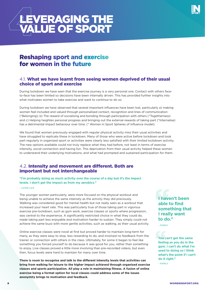

# **AEVERAGING THE** VALUE OF SPORT

## Reshaping sport and exercise for women in the future

## 4.1. What we have learnt from seeing women deprived of their usual choice of sport and exercise

During lockdown we have seen that the exercise journey is a very personal one. Contact with others faceto-face has been limited so decisions have been internally driven. This has provided further insights into what motivates women to take exercise and want to continue to do so.

During lockdown we have observed that several important influences have been lost, particularly a) making women feel included and valued through personalised contact, recognition and lines of communication (\*Belonging); b) The reward of socialising and bonding through participation with others (\*Togetherness) and c) Helping heighten personal progress and bringing out the external rewards of taking part (\*Internalise) has a detrimental impact behaviour over time. (\* Women in Sport Spheres of Influence model).

We found that women previously engaged with regular physical activity miss their usual activities and have struggled to replicate these in lockdown. Many of those who were active before lockdown and took part regularly in organised sport or activities were clearly less satisfied with their limited lockdown activity. The new options available could not truly replace what they had before, not least in terms of exercise intensity, social connection and having fun. This deprivation from their usual activity helped these women to understand their underlying motivations, and what had prompted and sustained participation for them.

## 4.2. Intensity and movement are different. Both are important but not interchangeable

## **"I'm probably doing as much activity over the course of a day but it's the impact levels. I don't get the impact as from my aerobics."**

#### – LATER LIFE

The younger women particularly, were more focused on the physical workout and being unable to achieve the same intensity as the activity they did previously. Walking was considered good for mental health but not really seen as a workout that increased your heart rate. This was particularly true of those taking part in vigorous exercise pre-lockdown, such as gym work, exercise classes or sports where progression, was central to the experience. A significantly restricted choice in what they could do, made taking part less enjoyable and motivation harder to sustain. They simply could not achieve the same buzz with more gentle activities, such as walking, as their usual activity.

Online exercise classes were novel at first but proved harder to maintain long-term for many, as they were easy to stop, less rewarding to do, and involved no feedback from the trainer or connection with others in the class. Ultimately, for some it began to feel like something you forced yourself to do because it was good for you, rather than something to enjoy. Live classes proved a little more involving than pre-recorded videos, but even then, focus levels were hard to maintain for many over time.

**There is room to recognise and talk to the different intensity levels that activities can bring from walking for leisure to the higher impact achieved through organised exercise classes and sports participation. All play a role in maintaining fitness. A fusion of online exercise being a format option for local classes could address some of the issues anonymity brings to motivation and feedback.**

**I haven't been able to find something that I really want to do."**

– FAMILY

**You can't get the same feeling as you do in the gym. I can't do what I'm used to doing so I think what's the point if I can't do it right."** – FAMILY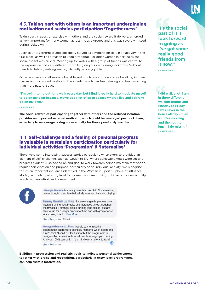## 4.3. Taking part with others is an important underpinning motivation and sustains participation 'Togetherness'

Taking part in sport or exercise with others and the social reward it delivers, emerged as very important for many women across the age groups and this was severely missed during lockdown.

A sense of togetherness and sociability served as a motivation to join an activity in the first place, as well as a reason to keep attending. For older women in particular, the social aspect was crucial. Meeting up for walks with a group of friends was central to the experience and very different to walking on your own during lockdown. Without friends to talk to, walking was significantly less enjoyable.

Older women also felt more vulnerable and much less confident about walking in open spaces and so tended to stick to the streets, which was less relaxing and less rewarding than more natural space.

**"I'm trying to go out for a walk every day, but I find it really hard to motivate myself to go on my own because, we've got a lot of open spaces where I live and I daren't go on my own."**

#### – LATER LIFE

**The social reward of participating together with others and the reduced isolation provides an important external motivator, which could be leveraged post lockdown, especially to encourage taking up an activity for those previously inactive.**

## 4.4. Self-challenge and a feeling of personal progress is valuable in sustaining participation particularly for individual activities 'Progression' & 'Internalise'

There were some interesting success stories particularly when exercise provided an element of self-challenge, such as 'Couch to 5K', where achievable goals were set and progress evident. Also having an end goal to work towards helped maintain motivation, regular participation and purpose, particularly as an individual activity. We recognise this as an important influence identified in the Women in Sport's Sphere of Influence Model, particularly at entry level for women who are looking to kick-start a new activity which requires effort and commitment.



**Comparison I Received Prior in the UV of Dentisian Prior in the UV of Dentisian Prior in the UV of Dentisian Prior in the UV of Dentisian Prior in the UV of Dentisian Prior in the UV of Dentisian Prior in the UV of Dentis** never thought I'd achieve before! My sister and I are also playing

**Barning Rimselvill Lie Prime - It's a really gentle process using** interval training, rest breaks and increased times throughout the 9 weeks. I strongly dislike running (and still do) but am able to run for a longer amount of time and with greater ease since doing this. I... See More

Like · Reply · 4w · Edited

Georgia Maurice Liz Pring I would say to trust the programme! There were definitely moments when before the run I'd think "I can't run for 8 mins" but the programme is designed by professionals who know how to get you running! And you 100% can do it - it's a mind over matter situation!!

Like · Reply · 4w

**Building in progression and realistic goals to indicate personal achievement together with praise and recognition, particularly in entry level programmes, can help sustain motivation.** 

**It's the social part of it. I look forward to going as I've got some really good friends from it now."**

– LATER LIFE

**I did walk a lot. I am in three different walking groups and Monday to Friday I was never in the house all day – then a coffee morning and then out to lunch. I do miss it!"** – LATER LIFE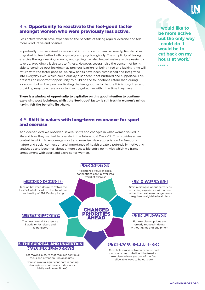## 4.5. Opportunity to reactivate the feel-good factor amongst women who were previously less active.

Less active women have experienced the benefits of taking regular exercise and felt more productive and positive.

Importantly this has raised its value and importance to them personally, first-hand as they start to feel better both physically and psychologically. The simplicity of taking exercise through walking, running and cycling has also helped make exercise easier to take up, providing a kick-start to fitness. However, several raise the concern of being able to continue post lockdown as previous barriers of being tired and lacking time will return with the faster pace of life. New habits have been established and integrated into everyday lives, which could quickly disappear if not nurtured and supported. This presents an important opportunity to build on the foundations established during lockdown but will rely on reactivating the feel-good factor before this is forgotten and providing easy to access opportunities to get active within the time they have.

**There is a window of opportunity to capitalise on this good intention to continue exercising post lockdown, whilst the 'feel good' factor is still fresh in women's minds having felt the benefits first-hand.**

## 4.6. Shift in values with long-term resonance for sport and exercise

At a deeper level we observed several shifts and changes in what women valued in life and how they wanted to operate in the future post Covid-19. This provides a new context in which to encourage sport and exercise. New appreciation for freedoms, nature and social connection and importance of health create a potentially motivating landscape and becomes about a more accessible entry point with which we frame engagement with sport and exercise for women.



**I would like to be more active but the only way I could do it would be to cut back on my hours at work."**

 $-$  FAMILY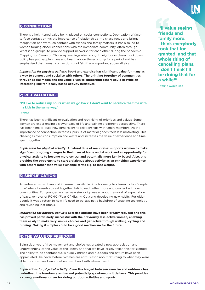

## 1) CONNECTION:

There is a heightened value being placed on social connections. Deprivation of faceto-face contact brings the importance of relationships into sharp focus and brings recognition of how much contact with friends and family matters. It has also led to women forging closer connections with the immediate community, often through Whatsapp groups, to provide support networks for each other during the pandemic. Clapping for Carers on Thursday evenings also brought neighbours closer. Lockdown policy has put people's lives and health above the economy for a period and has emphasised that human connections, not 'stuff' are important above all else.

*Implication for physical activity:* **Sport and exercise has significant value for many as a way to connect and socialise with others. The bringing together of communities through social media and the value given to supporting others could provide an interesting link for locally based activity initiatives.**

### 2) RE-EVALUATING:

**"I'd like to reduce my hours when we go back. I don't want to sacrifice the time with my kids in the same way."**

#### – FAMILY

There has been significant re-evaluation and rethinking of priorities and values. Some women are experiencing a slower pace of life and gaining a different perspective. There has been time to build new dimensions to relationships with family members. As the importance of connection increases, pursuit of material goods feels less motivating. This challenges over-consumption and waste and increases the value of experience and time spent together.

*Implication for physical activity:* **A natural time of reappraisal supports women to make significant on-going changes to their lives at home and at work and an opportunity for physical activity to become more central and potentially more family based. Also, this provides the opportunity to start a dialogue about activity as an enriching experience with others rather than value exchange terms e.g. to lose weight.**

## 3) SIMPLIFICATION:

An enforced slow down and increase in available time for many has taken us to a 'simpler time' where households eat together, talk to each other more and connect with our communities. For younger women new simplicity was all about removal of expectation of pace, removal of FOMO (Fear Of Missing Out) and developing new habits. For older people it was a return to how life used to be, against a backdrop of enabling technology and revisiting lost rituals.

*Implication for physical activity:* **Exercise options have been greatly reduced and this has proved particularly successful with the previously less-active women, enabling them easily to make very simple choices and get active through walking, cycling and running. Making it simpler could be a good mechanism for the future.**

## 4) THE VALUE OF FREEDOM:

Being deprived of free movement and choice has created a new appreciation and understanding of the value of the liberty and that we have largely taken this for granted. The ability to be spontaneous is hugely missed and outdoors and nature have been appreciated like never before. Women are enthusiastic about returning to what they were able to do - where I want - when I want and with whom I want.

*Implications for physical activity:* **Clear link forged between exercise and outdoor - has underlined the freedom exercise and potentially spontaneous it delivers. This provides a strong emotional driver for doing outdoor activities and sports.**

**I'll value seeing friends and family more. I think everybody took that for granted, and that whole thing of cancelling plans. I don't think I'll be doing that for a while!"**

– YOUNG W/OUT KIDS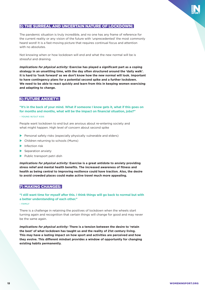## 5) THE SURREAL AND UNCERTAIN NATURE OF LOCKDOWN:

The pandemic situation is truly incredible, and no one has any frame of reference for the current reality or any vision of the future with 'unprecedented' the most commonly heard word! It is a fast-moving picture that requires continual focus and attention with no absolutes.

Not knowing when or how lockdown will end and what the new normal will be is stressful and draining.

*Implications for physical activity:* **Exercise has played a significant part as a coping strategy in an unsettling time, with the day often structured around the 'daily walk'. It is hard to 'look forward' as we don't know how the new normal will look. Important to have contingency plans for a potential second spike and a further lockdown. We need to be able to react quickly and learn from this in keeping women exercising and adapting to change.** 

## 6) FUTURE ANXIETY:

**"It's in the back of your mind. What if someone I know gets it, what if this goes on for months and months, what will be the impact on financial situation, jobs?"**

#### – YOUNG W/OUT KIDS

People want lockdown to end but are anxious about re-entering society and what might happen. High level of concern about second spike

- $\blacktriangleright$  Personal safety risks (especially physically vulnerable and elders)
- $\blacktriangleright$  Children returning to schools (Mums)
- $\blacktriangleright$  Infection risk
- $\blacktriangleright$  Separation anxiety
- $\blacktriangleright$  Public transport petri dish

*Implications for physical activity:* **Exercise is a great antidote to anxiety providing stress relief and mental health benefits. The increased awareness of fitness and health as being central to improving resilience could have traction. Also, the desire to avoid crowded places could make active travel much more appealing.** 

## 7) MAKING CHANGES:

**"I still want time for myself after this. I think things will go back to normal but with a better understanding of each other."**

– FAMILY

There is a challenge in retaining the positives of lockdown when the wheels start turning again and recognition that certain things will change for good and may never be the same again.

*Implications for physical activity:* **There is a tension between the desire to 'retain the best' of what lockdown has taught us and the reality of 21st century living. This may have a lasting impact on how sport and activities are perceived and how they evolve. This different mindset provides a window of opportunity for changing existing habits permanently.**